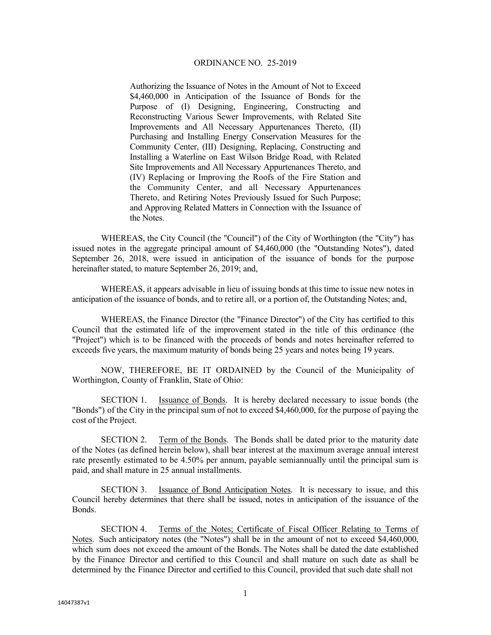Authorizing the Issuance of Notes in the Amount of Not to Exceed \$4,460,000 in Anticipation of the Issuance of Bonds for the Purpose of (I) Designing, Engineering, Constructing and Reconstructing Various Sewer Improvements, with Related Site Improvements and All Necessary Appurtenances Thereto, (II) Purchasing and Installing Energy Conservation Measures for the Community Center, (III) Designing, Replacing, Constructing and Installing a Waterline on East Wilson Bridge Road, with Related Site Improvements and All Necessary Appurtenances Thereto, and (IV) Replacing or Improving the Roofs of the Fire Station and the Community Center, and all Necessary Appurtenances Thereto, and Retiring Notes Previously Issued for Such Purpose; and Approving Related Matters in Connection with the Issuance of the Notes.

WHEREAS, the City Council (the "Council") of the City of Worthington (the "City") has issued notes in the aggregate principal amount of \$4,460,000 (the "Outstanding Notes"), dated September 26, 2018, were issued in anticipation of the issuance of bonds for the purpose hereinafter stated, to mature September 26, 2019; and,

WHEREAS, it appears advisable in lieu of issuing bonds at this time to issue new notes in anticipation of the issuance of bonds, and to retire all, or a portion of, the Outstanding Notes; and,

WHEREAS, the Finance Director (the "Finance Director") of the City has certified to this Council that the estimated life of the improvement stated in the title of this ordinance (the "Project") which is to be financed with the proceeds of bonds and notes hereinafter referred to exceeds five years, the maximum maturity of bonds being 25 years and notes being 19 years.

NOW, THEREFORE, BE IT ORDAINED by the Council of the Municipality of Worthington, County of Franklin, State of Ohio:

SECTION 1. Issuance of Bonds. It is hereby declared necessary to issue bonds (the "Bonds") of the City in the principal sum of not to exceed \$4,460,000, for the purpose of paying the cost of the Project.

SECTION 2. Term of the Bonds. The Bonds shall be dated prior to the maturity date of the Notes (as defined herein below), shall bear interest at the maximum average annual interest rate presently estimated to be 4.50% per annum, payable semiannually until the principal sum is paid, and shall mature in 25 annual installments.

SECTION 3. Issuance of Bond Anticipation Notes. It is necessary to issue, and this Council hereby determines that there shall be issued, notes in anticipation of the issuance of the Bonds.

SECTION 4. Terms of the Notes; Certificate of Fiscal Officer Relating to Terms of Notes. Such anticipatory notes (the "Notes") shall be in the amount of not to exceed \$4,460,000, which sum does not exceed the amount of the Bonds. The Notes shall be dated the date established by the Finance Director and certified to this Council and shall mature on such date as shall be determined by the Finance Director and certified to this Council, provided that such date shall not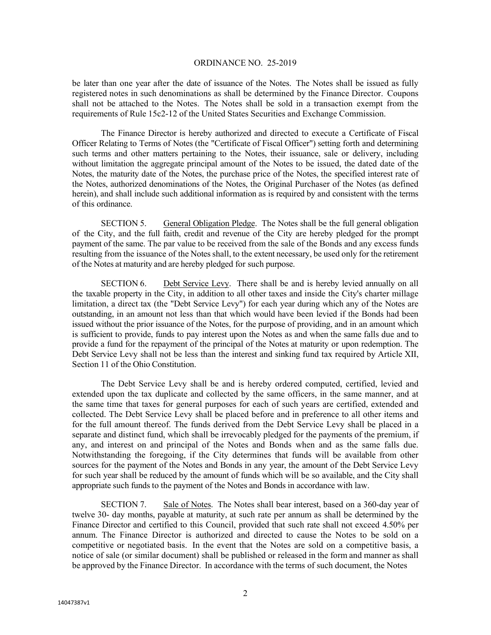be later than one year after the date of issuance of the Notes. The Notes shall be issued as fully registered notes in such denominations as shall be determined by the Finance Director. Coupons shall not be attached to the Notes. The Notes shall be sold in a transaction exempt from the requirements of Rule 15c2-12 of the United States Securities and Exchange Commission.

The Finance Director is hereby authorized and directed to execute a Certificate of Fiscal Officer Relating to Terms of Notes (the "Certificate of Fiscal Officer") setting forth and determining such terms and other matters pertaining to the Notes, their issuance, sale or delivery, including without limitation the aggregate principal amount of the Notes to be issued, the dated date of the Notes, the maturity date of the Notes, the purchase price of the Notes, the specified interest rate of the Notes, authorized denominations of the Notes, the Original Purchaser of the Notes (as defined herein), and shall include such additional information as is required by and consistent with the terms of this ordinance.

SECTION 5. General Obligation Pledge. The Notes shall be the full general obligation of the City, and the full faith, credit and revenue of the City are hereby pledged for the prompt payment of the same. The par value to be received from the sale of the Bonds and any excess funds resulting from the issuance of the Notes shall, to the extent necessary, be used only for the retirement of the Notes at maturity and are hereby pledged for such purpose.

SECTION 6. Debt Service Levy. There shall be and is hereby levied annually on all the taxable property in the City, in addition to all other taxes and inside the City's charter millage limitation, a direct tax (the "Debt Service Levy") for each year during which any of the Notes are outstanding, in an amount not less than that which would have been levied if the Bonds had been issued without the prior issuance of the Notes, for the purpose of providing, and in an amount which is sufficient to provide, funds to pay interest upon the Notes as and when the same falls due and to provide a fund for the repayment of the principal of the Notes at maturity or upon redemption. The Debt Service Levy shall not be less than the interest and sinking fund tax required by Article XII, Section 11 of the Ohio Constitution.

The Debt Service Levy shall be and is hereby ordered computed, certified, levied and extended upon the tax duplicate and collected by the same officers, in the same manner, and at the same time that taxes for general purposes for each of such years are certified, extended and collected. The Debt Service Levy shall be placed before and in preference to all other items and for the full amount thereof. The funds derived from the Debt Service Levy shall be placed in a separate and distinct fund, which shall be irrevocably pledged for the payments of the premium, if any, and interest on and principal of the Notes and Bonds when and as the same falls due. Notwithstanding the foregoing, if the City determines that funds will be available from other sources for the payment of the Notes and Bonds in any year, the amount of the Debt Service Levy for such year shall be reduced by the amount of funds which will be so available, and the City shall appropriate such funds to the payment of the Notes and Bonds in accordance with law.

SECTION 7. Sale of Notes. The Notes shall bear interest, based on a 360-day year of twelve 30- day months, payable at maturity, at such rate per annum as shall be determined by the Finance Director and certified to this Council, provided that such rate shall not exceed 4.50% per annum. The Finance Director is authorized and directed to cause the Notes to be sold on a competitive or negotiated basis. In the event that the Notes are sold on a competitive basis, a notice of sale (or similar document) shall be published or released in the form and manner as shall be approved by the Finance Director. In accordance with the terms of such document, the Notes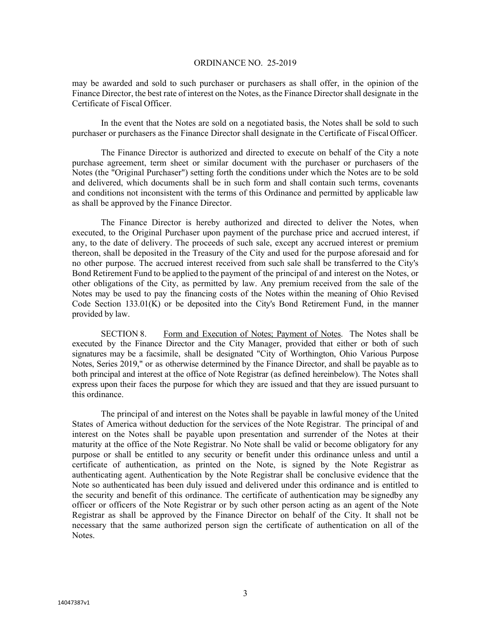may be awarded and sold to such purchaser or purchasers as shall offer, in the opinion of the Finance Director, the best rate of interest on the Notes, as the Finance Director shall designate in the Certificate of Fiscal Officer.

In the event that the Notes are sold on a negotiated basis, the Notes shall be sold to such purchaser or purchasers as the Finance Director shall designate in the Certificate of Fiscal Officer.

The Finance Director is authorized and directed to execute on behalf of the City a note purchase agreement, term sheet or similar document with the purchaser or purchasers of the Notes (the "Original Purchaser") setting forth the conditions under which the Notes are to be sold and delivered, which documents shall be in such form and shall contain such terms, covenants and conditions not inconsistent with the terms of this Ordinance and permitted by applicable law as shall be approved by the Finance Director.

The Finance Director is hereby authorized and directed to deliver the Notes, when executed, to the Original Purchaser upon payment of the purchase price and accrued interest, if any, to the date of delivery. The proceeds of such sale, except any accrued interest or premium thereon, shall be deposited in the Treasury of the City and used for the purpose aforesaid and for no other purpose. The accrued interest received from such sale shall be transferred to the City's Bond Retirement Fund to be applied to the payment of the principal of and interest on the Notes, or other obligations of the City, as permitted by law. Any premium received from the sale of the Notes may be used to pay the financing costs of the Notes within the meaning of Ohio Revised Code Section 133.01(K) or be deposited into the City's Bond Retirement Fund, in the manner provided by law.

SECTION 8. Form and Execution of Notes; Payment of Notes. The Notes shall be executed by the Finance Director and the City Manager, provided that either or both of such signatures may be a facsimile, shall be designated "City of Worthington, Ohio Various Purpose Notes, Series 2019," or as otherwise determined by the Finance Director, and shall be payable as to both principal and interest at the office of Note Registrar (as defined hereinbelow). The Notes shall express upon their faces the purpose for which they are issued and that they are issued pursuant to this ordinance.

The principal of and interest on the Notes shall be payable in lawful money of the United States of America without deduction for the services of the Note Registrar. The principal of and interest on the Notes shall be payable upon presentation and surrender of the Notes at their maturity at the office of the Note Registrar. No Note shall be valid or become obligatory for any purpose or shall be entitled to any security or benefit under this ordinance unless and until a certificate of authentication, as printed on the Note, is signed by the Note Registrar as authenticating agent. Authentication by the Note Registrar shall be conclusive evidence that the Note so authenticated has been duly issued and delivered under this ordinance and is entitled to the security and benefit of this ordinance. The certificate of authentication may be signedby any officer or officers of the Note Registrar or by such other person acting as an agent of the Note Registrar as shall be approved by the Finance Director on behalf of the City. It shall not be necessary that the same authorized person sign the certificate of authentication on all of the Notes.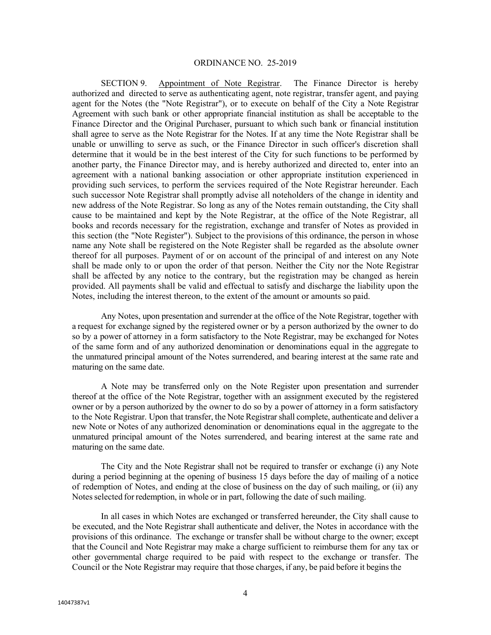SECTION 9. Appointment of Note Registrar. The Finance Director is hereby authorized and directed to serve as authenticating agent, note registrar, transfer agent, and paying agent for the Notes (the "Note Registrar"), or to execute on behalf of the City a Note Registrar Agreement with such bank or other appropriate financial institution as shall be acceptable to the Finance Director and the Original Purchaser, pursuant to which such bank or financial institution shall agree to serve as the Note Registrar for the Notes. If at any time the Note Registrar shall be unable or unwilling to serve as such, or the Finance Director in such officer's discretion shall determine that it would be in the best interest of the City for such functions to be performed by another party, the Finance Director may, and is hereby authorized and directed to, enter into an agreement with a national banking association or other appropriate institution experienced in providing such services, to perform the services required of the Note Registrar hereunder. Each such successor Note Registrar shall promptly advise all noteholders of the change in identity and new address of the Note Registrar. So long as any of the Notes remain outstanding, the City shall cause to be maintained and kept by the Note Registrar, at the office of the Note Registrar, all books and records necessary for the registration, exchange and transfer of Notes as provided in this section (the "Note Register"). Subject to the provisions of this ordinance, the person in whose name any Note shall be registered on the Note Register shall be regarded as the absolute owner thereof for all purposes. Payment of or on account of the principal of and interest on any Note shall be made only to or upon the order of that person. Neither the City nor the Note Registrar shall be affected by any notice to the contrary, but the registration may be changed as herein provided. All payments shall be valid and effectual to satisfy and discharge the liability upon the Notes, including the interest thereon, to the extent of the amount or amounts so paid.

Any Notes, upon presentation and surrender at the office of the Note Registrar, together with a request for exchange signed by the registered owner or by a person authorized by the owner to do so by a power of attorney in a form satisfactory to the Note Registrar, may be exchanged for Notes of the same form and of any authorized denomination or denominations equal in the aggregate to the unmatured principal amount of the Notes surrendered, and bearing interest at the same rate and maturing on the same date.

A Note may be transferred only on the Note Register upon presentation and surrender thereof at the office of the Note Registrar, together with an assignment executed by the registered owner or by a person authorized by the owner to do so by a power of attorney in a form satisfactory to the Note Registrar. Upon that transfer, the Note Registrar shall complete, authenticate and deliver a new Note or Notes of any authorized denomination or denominations equal in the aggregate to the unmatured principal amount of the Notes surrendered, and bearing interest at the same rate and maturing on the same date.

The City and the Note Registrar shall not be required to transfer or exchange (i) any Note during a period beginning at the opening of business 15 days before the day of mailing of a notice of redemption of Notes, and ending at the close of business on the day of such mailing, or (ii) any Notes selected for redemption, in whole or in part, following the date of such mailing.

In all cases in which Notes are exchanged or transferred hereunder, the City shall cause to be executed, and the Note Registrar shall authenticate and deliver, the Notes in accordance with the provisions of this ordinance. The exchange or transfer shall be without charge to the owner; except that the Council and Note Registrar may make a charge sufficient to reimburse them for any tax or other governmental charge required to be paid with respect to the exchange or transfer. The Council or the Note Registrar may require that those charges, if any, be paid before it begins the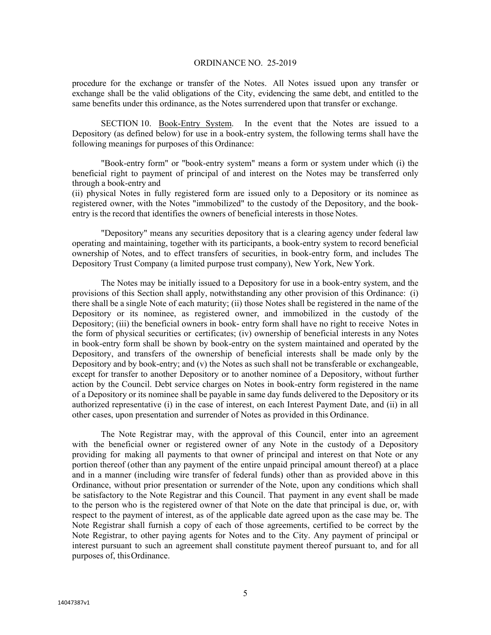procedure for the exchange or transfer of the Notes. All Notes issued upon any transfer or exchange shall be the valid obligations of the City, evidencing the same debt, and entitled to the same benefits under this ordinance, as the Notes surrendered upon that transfer or exchange.

SECTION 10. Book-Entry System. In the event that the Notes are issued to a Depository (as defined below) for use in a book-entry system, the following terms shall have the following meanings for purposes of this Ordinance:

"Book-entry form" or "book-entry system" means a form or system under which (i) the beneficial right to payment of principal of and interest on the Notes may be transferred only through a book-entry and

(ii) physical Notes in fully registered form are issued only to a Depository or its nominee as registered owner, with the Notes "immobilized" to the custody of the Depository, and the bookentry is the record that identifies the owners of beneficial interests in those Notes.

"Depository" means any securities depository that is a clearing agency under federal law operating and maintaining, together with its participants, a book-entry system to record beneficial ownership of Notes, and to effect transfers of securities, in book-entry form, and includes The Depository Trust Company (a limited purpose trust company), New York, New York.

The Notes may be initially issued to a Depository for use in a book-entry system, and the provisions of this Section shall apply, notwithstanding any other provision of this Ordinance: (i) there shall be a single Note of each maturity; (ii) those Notes shall be registered in the name of the Depository or its nominee, as registered owner, and immobilized in the custody of the Depository; (iii) the beneficial owners in book- entry form shall have no right to receive Notes in the form of physical securities or certificates; (iv) ownership of beneficial interests in any Notes in book-entry form shall be shown by book-entry on the system maintained and operated by the Depository, and transfers of the ownership of beneficial interests shall be made only by the Depository and by book-entry; and  $(v)$  the Notes as such shall not be transferable or exchangeable, except for transfer to another Depository or to another nominee of a Depository, without further action by the Council. Debt service charges on Notes in book-entry form registered in the name of a Depository or its nominee shall be payable in same day funds delivered to the Depository or its authorized representative (i) in the case of interest, on each Interest Payment Date, and (ii) in all other cases, upon presentation and surrender of Notes as provided in this Ordinance.

The Note Registrar may, with the approval of this Council, enter into an agreement with the beneficial owner or registered owner of any Note in the custody of a Depository providing for making all payments to that owner of principal and interest on that Note or any portion thereof (other than any payment of the entire unpaid principal amount thereof) at a place and in a manner (including wire transfer of federal funds) other than as provided above in this Ordinance, without prior presentation or surrender of the Note, upon any conditions which shall be satisfactory to the Note Registrar and this Council. That payment in any event shall be made to the person who is the registered owner of that Note on the date that principal is due, or, with respect to the payment of interest, as of the applicable date agreed upon as the case may be. The Note Registrar shall furnish a copy of each of those agreements, certified to be correct by the Note Registrar, to other paying agents for Notes and to the City. Any payment of principal or interest pursuant to such an agreement shall constitute payment thereof pursuant to, and for all purposes of, this Ordinance.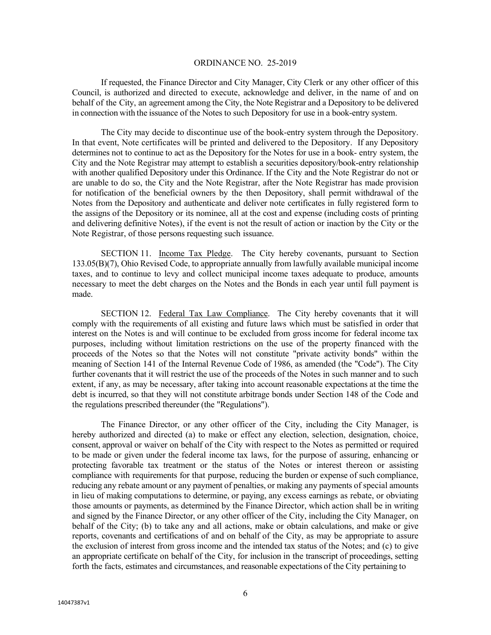If requested, the Finance Director and City Manager, City Clerk or any other officer of this Council, is authorized and directed to execute, acknowledge and deliver, in the name of and on behalf of the City, an agreement among the City, the Note Registrar and a Depository to be delivered in connection with the issuance of the Notes to such Depository for use in a book-entry system.

The City may decide to discontinue use of the book-entry system through the Depository. In that event, Note certificates will be printed and delivered to the Depository. If any Depository determines not to continue to act as the Depository for the Notes for use in a book- entry system, the City and the Note Registrar may attempt to establish a securities depository/book-entry relationship with another qualified Depository under this Ordinance. If the City and the Note Registrar do not or are unable to do so, the City and the Note Registrar, after the Note Registrar has made provision for notification of the beneficial owners by the then Depository, shall permit withdrawal of the Notes from the Depository and authenticate and deliver note certificates in fully registered form to the assigns of the Depository or its nominee, all at the cost and expense (including costs of printing and delivering definitive Notes), if the event is not the result of action or inaction by the City or the Note Registrar, of those persons requesting such issuance.

SECTION 11. Income Tax Pledge. The City hereby covenants, pursuant to Section 133.05(B)(7), Ohio Revised Code, to appropriate annually from lawfully available municipal income taxes, and to continue to levy and collect municipal income taxes adequate to produce, amounts necessary to meet the debt charges on the Notes and the Bonds in each year until full payment is made.

SECTION 12. Federal Tax Law Compliance. The City hereby covenants that it will comply with the requirements of all existing and future laws which must be satisfied in order that interest on the Notes is and will continue to be excluded from gross income for federal income tax purposes, including without limitation restrictions on the use of the property financed with the proceeds of the Notes so that the Notes will not constitute "private activity bonds" within the meaning of Section 141 of the Internal Revenue Code of 1986, as amended (the "Code"). The City further covenants that it will restrict the use of the proceeds of the Notes in such manner and to such extent, if any, as may be necessary, after taking into account reasonable expectations at the time the debt is incurred, so that they will not constitute arbitrage bonds under Section 148 of the Code and the regulations prescribed thereunder (the "Regulations").

The Finance Director, or any other officer of the City, including the City Manager, is hereby authorized and directed (a) to make or effect any election, selection, designation, choice, consent, approval or waiver on behalf of the City with respect to the Notes as permitted or required to be made or given under the federal income tax laws, for the purpose of assuring, enhancing or protecting favorable tax treatment or the status of the Notes or interest thereon or assisting compliance with requirements for that purpose, reducing the burden or expense of such compliance, reducing any rebate amount or any payment of penalties, or making any payments of special amounts in lieu of making computations to determine, or paying, any excess earnings as rebate, or obviating those amounts or payments, as determined by the Finance Director, which action shall be in writing and signed by the Finance Director, or any other officer of the City, including the City Manager, on behalf of the City; (b) to take any and all actions, make or obtain calculations, and make or give reports, covenants and certifications of and on behalf of the City, as may be appropriate to assure the exclusion of interest from gross income and the intended tax status of the Notes; and (c) to give an appropriate certificate on behalf of the City, for inclusion in the transcript of proceedings, setting forth the facts, estimates and circumstances, and reasonable expectations of the City pertaining to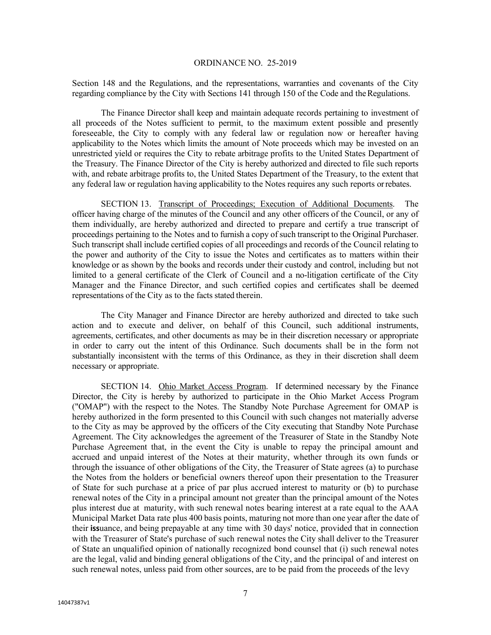Section 148 and the Regulations, and the representations, warranties and covenants of the City regarding compliance by the City with Sections 141 through 150 of the Code and the Regulations.

The Finance Director shall keep and maintain adequate records pertaining to investment of all proceeds of the Notes sufficient to permit, to the maximum extent possible and presently foreseeable, the City to comply with any federal law or regulation now or hereafter having applicability to the Notes which limits the amount of Note proceeds which may be invested on an unrestricted yield or requires the City to rebate arbitrage profits to the United States Department of the Treasury. The Finance Director of the City is hereby authorized and directed to file such reports with, and rebate arbitrage profits to, the United States Department of the Treasury, to the extent that any federal law or regulation having applicability to the Notes requires any such reports or rebates.

SECTION 13. Transcript of Proceedings; Execution of Additional Documents. The officer having charge of the minutes of the Council and any other officers of the Council, or any of them individually, are hereby authorized and directed to prepare and certify a true transcript of proceedings pertaining to the Notes and to furnish a copy of such transcript to the Original Purchaser. Such transcript shall include certified copies of all proceedings and records of the Council relating to the power and authority of the City to issue the Notes and certificates as to matters within their knowledge or as shown by the books and records under their custody and control, including but not limited to a general certificate of the Clerk of Council and a no-litigation certificate of the City Manager and the Finance Director, and such certified copies and certificates shall be deemed representations of the City as to the facts stated therein.

The City Manager and Finance Director are hereby authorized and directed to take such action and to execute and deliver, on behalf of this Council, such additional instruments, agreements, certificates, and other documents as may be in their discretion necessary or appropriate in order to carry out the intent of this Ordinance. Such documents shall be in the form not substantially inconsistent with the terms of this Ordinance, as they in their discretion shall deem necessary or appropriate.

SECTION 14. Ohio Market Access Program. If determined necessary by the Finance Director, the City is hereby by authorized to participate in the Ohio Market Access Program ("OMAP") with the respect to the Notes. The Standby Note Purchase Agreement for OMAP is hereby authorized in the form presented to this Council with such changes not materially adverse to the City as may be approved by the officers of the City executing that Standby Note Purchase Agreement. The City acknowledges the agreement of the Treasurer of State in the Standby Note Purchase Agreement that, in the event the City is unable to repay the principal amount and accrued and unpaid interest of the Notes at their maturity, whether through its own funds or through the issuance of other obligations of the City, the Treasurer of State agrees (a) to purchase the Notes from the holders or beneficial owners thereof upon their presentation to the Treasurer of State for such purchase at a price of par plus accrued interest to maturity or (b) to purchase renewal notes of the City in a principal amount not greater than the principal amount of the Notes plus interest due at maturity, with such renewal notes bearing interest at a rate equal to the AAA Municipal Market Data rate plus 400 basis points, maturing not more than one year after the date of their **iss**uance, and being prepayable at any time with 30 days' notice, provided that in connection with the Treasurer of State's purchase of such renewal notes the City shall deliver to the Treasurer of State an unqualified opinion of nationally recognized bond counsel that (i) such renewal notes are the legal, valid and binding general obligations of the City, and the principal of and interest on such renewal notes, unless paid from other sources, are to be paid from the proceeds of the levy